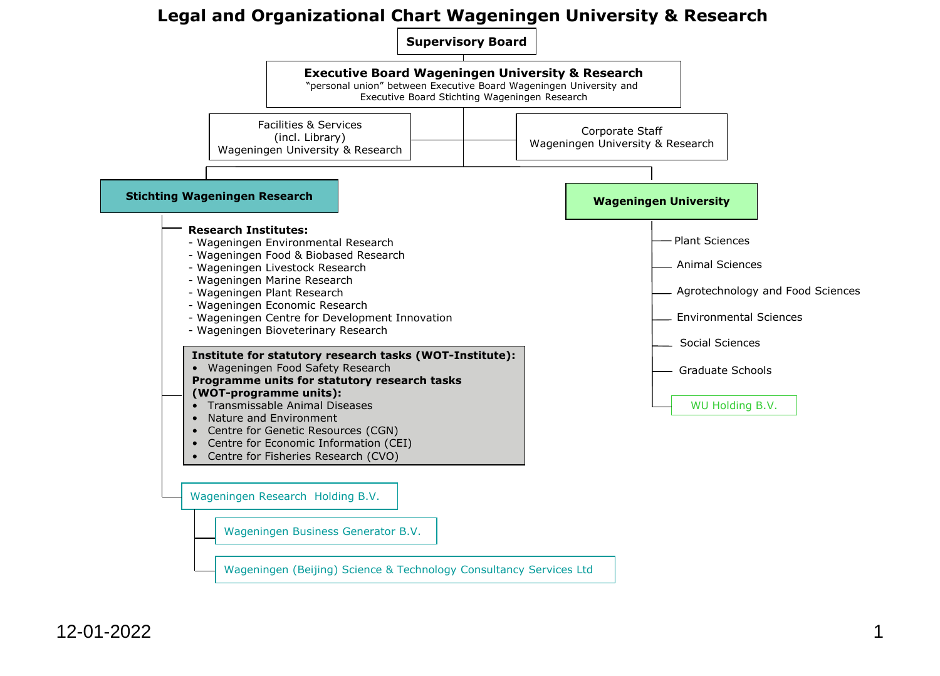## **Legal and Organizational Chart Wageningen University & Research**

**Supervisory Board**

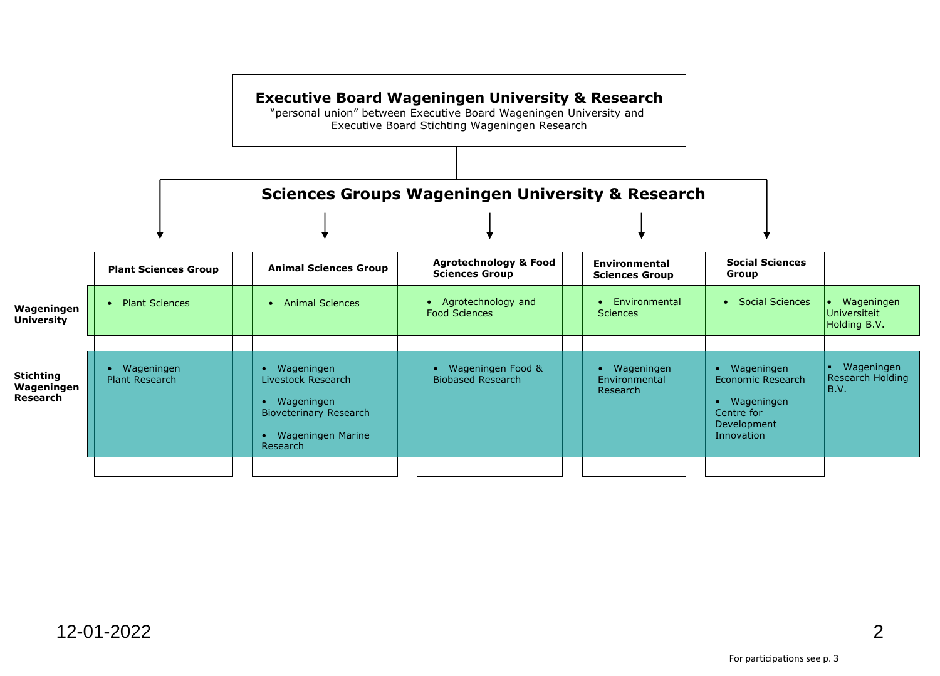